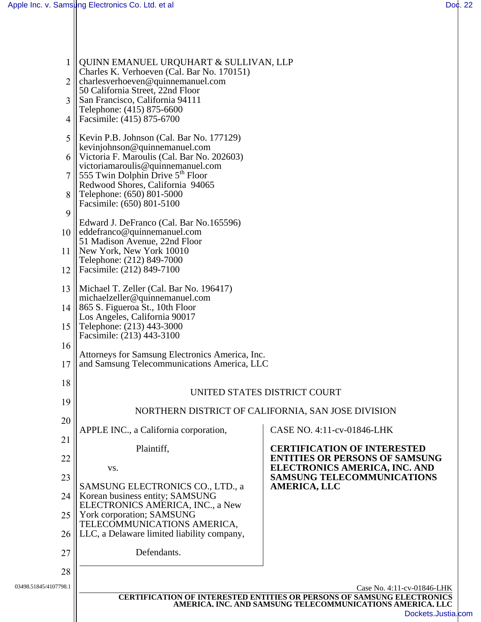| $\mathbf{1}$          | QUINN EMANUEL URQUHART & SULLIVAN, LLP<br>Charles K. Verhoeven (Cal. Bar No. 170151)           |                                                                                                                                            |
|-----------------------|------------------------------------------------------------------------------------------------|--------------------------------------------------------------------------------------------------------------------------------------------|
| $\overline{2}$        | charlesverhoeven@quinnemanuel.com<br>50 California Street, 22nd Floor                          |                                                                                                                                            |
| 3                     | San Francisco, California 94111<br>Telephone: (415) 875-6600                                   |                                                                                                                                            |
| 4                     | Facsimile: (415) 875-6700                                                                      |                                                                                                                                            |
| 5                     | Kevin P.B. Johnson (Cal. Bar No. 177129)<br>kevinjohnson@quinnemanuel.com                      |                                                                                                                                            |
| 6                     | Victoria F. Maroulis (Cal. Bar No. 202603)<br>victoriamaroulis@quinnemanuel.com                |                                                                                                                                            |
| 7                     | 555 Twin Dolphin Drive 5 <sup>th</sup> Floor<br>Redwood Shores, California 94065               |                                                                                                                                            |
| 8                     | Telephone: (650) 801-5000<br>Facsimile: (650) 801-5100                                         |                                                                                                                                            |
| 9                     | Edward J. DeFranco (Cal. Bar No.165596)                                                        |                                                                                                                                            |
| 10                    | eddefranco@quinnemanuel.com<br>51 Madison Avenue, 22nd Floor                                   |                                                                                                                                            |
| 11<br>12              | New York, New York 10010<br>Telephone: (212) 849-7000<br>Facsimile: (212) 849-7100             |                                                                                                                                            |
| 13                    | Michael T. Zeller (Cal. Bar No. 196417)                                                        |                                                                                                                                            |
| 14                    | michaelzeller@quinnemanuel.com<br>865 S. Figueroa St., 10th Floor                              |                                                                                                                                            |
| 15                    | Los Angeles, California 90017<br>Telephone: (213) 443-3000                                     |                                                                                                                                            |
| 16                    | Facsimile: (213) 443-3100                                                                      |                                                                                                                                            |
| 17                    | Attorneys for Samsung Electronics America, Inc.<br>and Samsung Telecommunications America, LLC |                                                                                                                                            |
| 18                    | UNITED STATES DISTRICT COURT                                                                   |                                                                                                                                            |
| 19                    | NORTHERN DISTRICT OF CALIFORNIA, SAN JOSE DIVISION                                             |                                                                                                                                            |
| 20                    | APPLE INC., a California corporation,                                                          | CASE NO. 4:11-cv-01846-LHK                                                                                                                 |
| 21                    | Plaintiff,                                                                                     | <b>CERTIFICATION OF INTERESTED</b>                                                                                                         |
| 22                    | VS.                                                                                            | <b>ENTITIES OR PERSONS OF SAMSUNG</b><br>ELECTRONICS AMERICA, INC. AND                                                                     |
| 23                    | SAMSUNG ELECTRONICS CO., LTD., a                                                               | <b>SAMSUNG TELECOMMUNICATIONS</b><br><b>AMERICA, LLC</b>                                                                                   |
| 24                    | Korean business entity; SAMSUNG<br>ELECTRONICS AMERICA, INC., a New                            |                                                                                                                                            |
| 25                    | York corporation; SAMSUNG<br>TELECOMMUNICATIONS AMERICA,                                       |                                                                                                                                            |
| 26                    | LLC, a Delaware limited liability company,<br>Defendants.                                      |                                                                                                                                            |
| 27<br>28              |                                                                                                |                                                                                                                                            |
| 03498.51845/4107798.1 |                                                                                                | Case No. 4:11-cv-01846-LHK                                                                                                                 |
|                       |                                                                                                | <b>CERTIFICATION OF INTERESTED ENTITIES OR PERSONS OF SAMSUNG ELECTRONICS</b><br>AMERICA, INC. AND SAMSUNG TELECOMMUNICATIONS AMERICA, LLC |
|                       |                                                                                                | Dockets.Justia.com                                                                                                                         |